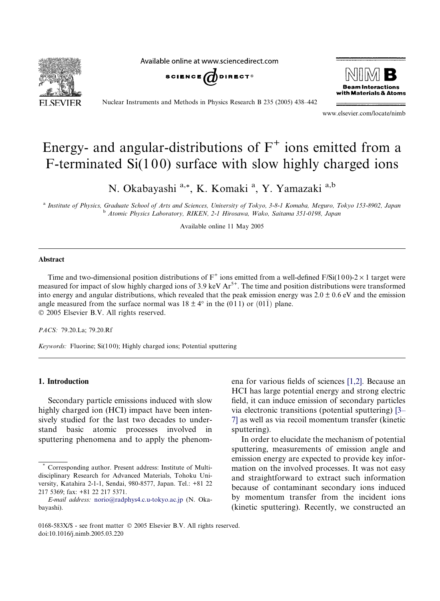**SEVIER** 

Available online at www.sciencedirect.com





Nuclear Instruments and Methods in Physics Research B 235 (2005) 438–442

www.elsevier.com/locate/nimb

# Energy- and angular-distributions of  $F^+$  ions emitted from a F-terminated  $Si(100)$  surface with slow highly charged ions

N. Okabayashi a,\*, K. Komaki <sup>a</sup>, Y. Yamazaki <sup>a,b</sup>

<sup>a</sup> Institute of Physics, Graduate School of Arts and Sciences, University of Tokyo, 3-8-1 Komaba, Meguro, Tokyo 153-8902, Japan <sup>b</sup> Atomic Physics Laboratory, RIKEN, 2-1 Hirosawa, Wako, Saitama 351-0198, Japan

Available online 11 May 2005

#### Abstract

Time and two-dimensional position distributions of  $F^+$  ions emitted from a well-defined  $F/Si(100)-2\times 1$  target were measured for impact of slow highly charged ions of 3.9 keV  $Ar<sup>5+</sup>$ . The time and position distributions were transformed into energy and angular distributions, which revealed that the peak emission energy was  $2.0 \pm 0.6$  eV and the emission angle measured from the surface normal was  $18 \pm 4^{\circ}$  in the (011) or (011) plane.  $© 2005 Elsevier B.V. All rights reserved.$ 

PACS: 79.20.La; 79.20.Rf

Keywords: Fluorine; Si(100); Highly charged ions; Potential sputtering

## 1. Introduction

Secondary particle emissions induced with slow highly charged ion (HCI) impact have been intensively studied for the last two decades to understand basic atomic processes involved in sputtering phenomena and to apply the phenomena for various fields of sciences [\[1,2\].](#page-4-0) Because an HCI has large potential energy and strong electric field, it can induce emission of secondary particles via electronic transitions (potential sputtering) [\[3–](#page-4-0) [7\]](#page-4-0) as well as via recoil momentum transfer (kinetic sputtering).

In order to elucidate the mechanism of potential sputtering, measurements of emission angle and emission energy are expected to provide key information on the involved processes. It was not easy and straightforward to extract such information because of contaminant secondary ions induced by momentum transfer from the incident ions (kinetic sputtering). Recently, we constructed an

Corresponding author. Present address: Institute of Multidisciplinary Research for Advanced Materials, Tohoku University, Katahira 2-1-1, Sendai, 980-8577, Japan. Tel.: +81 22 217 5369; fax: +81 22 217 5371.

E-mail address: [norio@radphys4.c.u-tokyo.ac.jp](mailto:norio@radphys4.c.u-tokyo.ac.jp) (N. Okabayashi).

<sup>0168-583</sup>X/\$ - see front matter © 2005 Elsevier B.V. All rights reserved. doi:10.1016/j.nimb.2005.03.220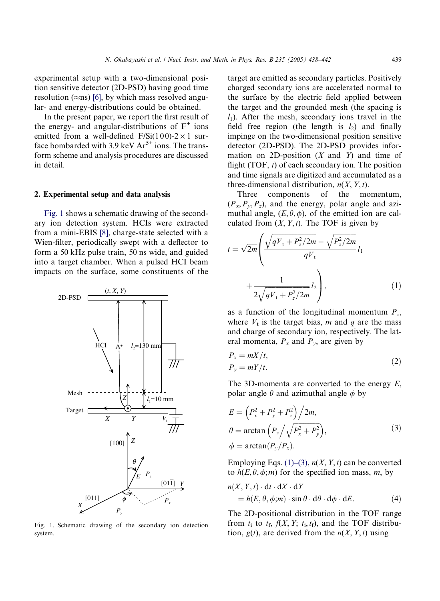<span id="page-1-0"></span>experimental setup with a two-dimensional position sensitive detector (2D-PSD) having good time resolution ( $\approx$ ns) [\[6\]](#page-4-0), by which mass resolved angular- and energy-distributions could be obtained.

In the present paper, we report the first result of the energy- and angular-distributions of  $F^+$  ions emitted from a well-defined  $F/Si(100)-2\times 1$  surface bombarded with 3.9 keV  $Ar^{5+}$  ions. The transform scheme and analysis procedures are discussed in detail.

#### 2. Experimental setup and data analysis

Fig. 1 shows a schematic drawing of the secondary ion detection system. HCIs were extracted from a mini-EBIS [\[8\],](#page-4-0) charge-state selected with a Wien-filter, periodically swept with a deflector to form a 50 kHz pulse train, 50 ns wide, and guided into a target chamber. When a pulsed HCI beam impacts on the surface, some constituents of the



Fig. 1. Schematic drawing of the secondary ion detection system.

target are emitted as secondary particles. Positively charged secondary ions are accelerated normal to the surface by the electric field applied between the target and the grounded mesh (the spacing is  $l_1$ ). After the mesh, secondary ions travel in the field free region (the length is  $l_2$ ) and finally impinge on the two-dimensional position sensitive detector (2D-PSD). The 2D-PSD provides information on 2D-position  $(X \text{ and } Y)$  and time of flight (TOF,  $t$ ) of each secondary ion. The position and time signals are digitized and accumulated as a three-dimensional distribution,  $n(X, Y, t)$ .

Three components of the momentum,  $(P_x, P_y, P_z)$ , and the energy, polar angle and azimuthal angle,  $(E, \theta, \phi)$ , of the emitted ion are calculated from  $(X, Y, t)$ . The TOF is given by

$$
t = \sqrt{2m} \left( \frac{\sqrt{qV_t + P_z^2/2m} - \sqrt{P_z^2/2m}}{qV_t} l_1 + \frac{1}{2\sqrt{qV_t + P_z^2/2m}} l_2 \right),
$$
 (1)

as a function of the longitudinal momentum  $P_z$ , where  $V_t$  is the target bias, m and q are the mass and charge of secondary ion, respectively. The lateral momenta,  $P_x$  and  $P_y$ , are given by

$$
P_x = mX/t,
$$
  
\n
$$
P_y = mY/t.
$$
\n(2)

The 3D-momenta are converted to the energy  $E$ , polar angle  $\theta$  and azimuthal angle  $\phi$  by

$$
E = \left(P_x^2 + P_y^2 + P_z^2\right)/2m,
$$
  
\n
$$
\theta = \arctan\left(P_z/\sqrt{P_x^2 + P_y^2}\right),
$$
  
\n
$$
\phi = \arctan(P_y/P_x).
$$
\n(3)

Employing Eqs.  $(1)$ – $(3)$ ,  $n(X, Y, t)$  can be converted to  $h(E, \theta, \phi; m)$  for the specified ion mass, m, by

$$
n(X, Y, t) \cdot dt \cdot dX \cdot dY
$$
  
=  $h(E, \theta, \phi; m) \cdot \sin \theta \cdot d\theta \cdot d\phi \cdot dE.$  (4)

The 2D-positional distribution in the TOF range from  $t_i$  to  $t_f$ ,  $f(X, Y; t_i, t_f)$ , and the TOF distribution,  $g(t)$ , are derived from the  $n(X, Y, t)$  using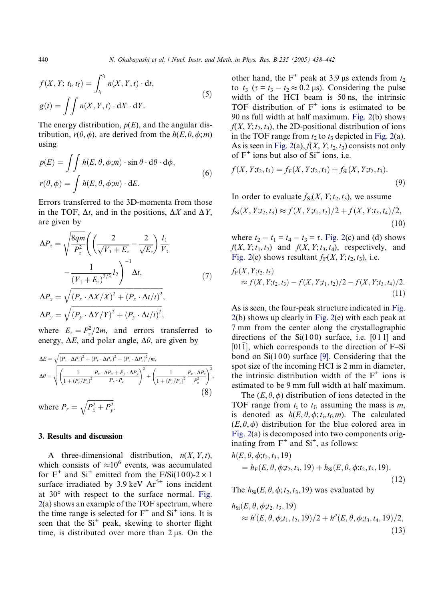<span id="page-2-0"></span>
$$
f(X, Y; t_i, t_f) = \int_{t_i}^{t_f} n(X, Y, t) \cdot dt,
$$
  

$$
g(t) = \iint n(X, Y, t) \cdot dY \cdot dY.
$$
 (5)

The energy distribution,  $p(E)$ , and the angular distribution,  $r(\theta,\phi)$ , are derived from the  $h(E,\theta,\phi;m)$ using

$$
p(E) = \iint h(E, \theta, \phi; m) \cdot \sin \theta \cdot d\theta \cdot d\phi,
$$
  

$$
r(\theta, \phi) = \int h(E, \theta, \phi; m) \cdot dE.
$$
 (6)

Errors transferred to the 3D-momenta from those in the TOF,  $\Delta t$ , and in the positions,  $\Delta X$  and  $\Delta Y$ , are given by

$$
\Delta P_z = \sqrt{\frac{8qm}{P_z^2} \left( \left( \frac{2}{\sqrt{V_t + E_z}} - \frac{2}{\sqrt{E_z}} \right) \frac{l_1}{V_t} - \frac{1}{(V_t + E_z)^{2/3}} l_2 \right)^{-1} \Delta t, \qquad (7)
$$

$$
\Delta P_x = \sqrt{(P_x \cdot \Delta X/X)^2 + (P_x \cdot \Delta t/t)^2},
$$

$$
\Delta P_y = \sqrt{(P_y \cdot \Delta Y/Y)^2 + (P_y \cdot \Delta t/t)^2},
$$

where  $E_z = P_z^2/2m$ , and errors transferred to energy,  $\Delta E$ , and polar angle,  $\Delta \theta$ , are given by

$$
\Delta E = \sqrt{(P_x \cdot \Delta P_x)^2 + (P_y \cdot \Delta P_y)^2 + (P_z \cdot \Delta P_z)^2 / m},
$$
  
\n
$$
\Delta \theta = \sqrt{\left(\frac{1}{1 + (P_r/P_z)^2} \frac{P_x \cdot \Delta P_x + P_y \cdot \Delta P_y}{P_r \cdot P_z}\right)^2 + \left(\frac{1}{1 + (P_r/P_z)^2} \frac{P_r \cdot \Delta P_z}{P_z^2}\right)^2},
$$
\n(8)

where  $P_r =$  $\sqrt{P_x^2 + P_y^2}$  $\overline{a}$ .

### 3. Results and discussion

A three-dimensional distribution,  $n(X, Y, t)$ , which consists of  $\approx 10^6$  events, was accumulated for  $F^+$  and  $Si^+$  emitted from the  $F/Si(100)-2\times 1$ surface irradiated by 3.9 keV  $Ar^{5+}$  ions incident at  $30^{\circ}$  with respect to the surface normal. [Fig.](#page-3-0) [2](#page-3-0)(a) shows an example of the TOF spectrum, where the time range is selected for  $F^+$  and  $Si^+$  ions. It is seen that the  $Si<sup>+</sup>$  peak, skewing to shorter flight time, is distributed over more than  $2 \mu s$ . On the

other hand, the F<sup>+</sup> peak at 3.9 µs extends from  $t_2$ to  $t_3$  ( $\tau = t_3 - t_2 \approx 0.2 \,\mu s$ ). Considering the pulse width of the HCI beam is 50 ns, the intrinsic TOF distribution of  $F^+$  ions is estimated to be 90 ns full width at half maximum. [Fig. 2\(](#page-3-0)b) shows  $f(X, Y; t_2, t_3)$ , the 2D-positional distribution of ions in the TOF range from  $t_2$  to  $t_3$  depicted in [Fig. 2](#page-3-0)(a). As is seen in [Fig. 2](#page-3-0)(a),  $f(X, Y; t_2, t_3)$  consists not only of  $F^+$  ions but also of  $Si^+$  ions, i.e.

$$
f(X, Y; t_2, t_3) = f_{\mathbf{F}}(X, Y; t_2, t_3) + f_{\mathbf{Si}}(X, Y; t_2, t_3).
$$
\n(9)

In order to evaluate  $f_{\text{Si}}(X, Y; t_2, t_3)$ , we assume

$$
f_{\text{Si}}(X, Y; t_2, t_3) \approx f(X, Y; t_1, t_2)/2 + f(X, Y; t_3, t_4)/2,
$$
\n(10)

where  $t_2 - t_1 = t_4 - t_3 = \tau$ . [Fig. 2](#page-3-0)(c) and (d) shows  $f(X, Y; t_1, t_2)$  and  $f(X, Y; t_3, t_4)$ , respectively, and [Fig. 2\(](#page-3-0)e) shows resultant  $f_F(X, Y; t_2, t_3)$ , i.e.

$$
f_{\mathcal{F}}(X, Y; t_2, t_3) \approx f(X, Y; t_2, t_3) - f(X, Y; t_1, t_2)/2 - f(X, Y; t_3, t_4)/2.
$$
\n(11)

As is seen, the four-peak structure indicated in [Fig.](#page-3-0) [2\(](#page-3-0)b) shows up clearly in [Fig. 2\(](#page-3-0)e) with each peak at 7 mm from the center along the crystallographic directions of the  $Si(100)$  surface, i.e. [011] and  $[01\bar{1}]$ , which corresponds to the direction of F–Si bond on  $Si(100)$  surface [\[9\]](#page-4-0). Considering that the spot size of the incoming HCI is 2 mm in diameter, the intrinsic distribution width of the  $F^+$  ions is estimated to be 9 mm full width at half maximum.

The  $(E, \theta, \phi)$  distribution of ions detected in the TOF range from  $t_i$  to  $t_f$ , assuming the mass is  $m$ , is denoted as  $h(E, \theta, \phi; t_i, t_f, m)$ . The calculated  $(E, \theta, \phi)$  distribution for the blue colored area in [Fig. 2](#page-3-0)(a) is decomposed into two components originating from  $F^+$  and  $Si^+$ , as follows:

$$
h(E, \theta, \phi; t_2, t_3, 19)
$$
  
=  $h_F(E, \theta, \phi; t_2, t_3, 19) + h_{Si}(E, \theta, \phi; t_2, t_3, 19).$  (12)

The  $h_{\text{Si}}(E, \theta, \phi; t_2, t_3, 19)$  was evaluated by

$$
h_{\text{Si}}(E, \theta, \phi; t_2, t_3, 19)
$$
  
\n
$$
\approx h'(E, \theta, \phi; t_1, t_2, 19)/2 + h''(E, \theta, \phi; t_3, t_4, 19)/2,
$$
\n(13)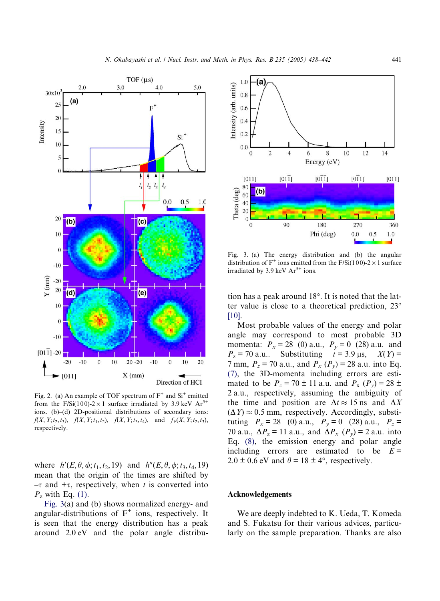<span id="page-3-0"></span>

Fig. 2. (a) An example of TOF spectrum of  $F^+$  and  $Si^+$  emitted from the F/Si(100)-2 × 1 surface irradiated by 3.9 keV  $Ar^{5+}$ ions. (b)–(d) 2D-positional distributions of secondary ions:  $f(X, Y; t_2, t_3)$ ,  $f(X, Y; t_1, t_2)$ ,  $f(X, Y; t_3, t_4)$ , and  $f_F(X, Y; t_2, t_3)$ , respectively.

where  $h'(E, \theta, \phi; t_1, t_2, 19)$  and  $h''(E, \theta, \phi; t_3, t_4, 19)$ mean that the origin of the times are shifted by  $-\tau$  and  $+\tau$ , respectively, when t is converted into  $P_z$  with Eq. [\(1\).](#page-1-0)

Fig. 3(a) and (b) shows normalized energy- and angular-distributions of  $F^+$  ions, respectively. It is seen that the energy distribution has a peak around 2.0 eV and the polar angle distribu-



Fig. 3. (a) The energy distribution and (b) the angular distribution of  $F^+$  ions emitted from the F/Si(100)-2  $\times$  1 surface irradiated by 3.9 keV  $Ar^{5+}$  ions.

tion has a peak around  $18^\circ$ . It is noted that the latter value is close to a theoretical prediction, 23 [\[10\]](#page-4-0).

Most probable values of the energy and polar angle may correspond to most probable 3D momenta:  $P_x = 28$  (0) a.u.,  $P_y = 0$  (28) a.u. and  $P_z = 70$  a.u.. Substituting  $t = 3.9$  µs,  $X(Y) =$ 7 mm,  $P_z = 70$  a.u., and  $P_x$  ( $P_y$ ) = 28 a.u. into Eq. [\(7\)](#page-2-0), the 3D-momenta including errors are estimated to be  $P_z = 70 \pm 11$  a.u. and  $P_x$  ( $P_y$ ) = 28  $\pm$ 2 a.u., respectively, assuming the ambiguity of the time and position are  $\Delta t \approx 15$  ns and  $\Delta X$  $(\Delta Y) \approx 0.5$  mm, respectively. Accordingly, substituting  $P_x = 28$  (0) a.u.,  $P_y = 0$  (28) a.u.,  $P_z =$ 70 a.u.,  $\Delta P_z = 11$  a.u., and  $\Delta P_x$  ( $P_y$ ) = 2 a.u. into Eq. [\(8\),](#page-2-0) the emission energy and polar angle including errors are estimated to be  $E =$  $2.0 \pm 0.6$  eV and  $\theta = 18 \pm 4^{\circ}$ , respectively.

#### Acknowledgements

We are deeply indebted to K. Ueda, T. Komeda and S. Fukatsu for their various advices, particularly on the sample preparation. Thanks are also